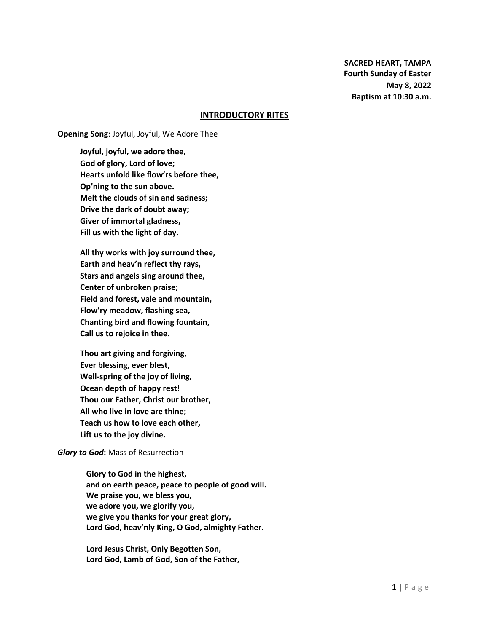**SACRED HEART, TAMPA Fourth Sunday of Easter May 8, 2022 Baptism at 10:30 a.m.**

### **INTRODUCTORY RITES**

**Opening Song**: Joyful, Joyful, We Adore Thee

**Joyful, joyful, we adore thee, God of glory, Lord of love; Hearts unfold like flow'rs before thee, Op'ning to the sun above. Melt the clouds of sin and sadness; Drive the dark of doubt away; Giver of immortal gladness, Fill us with the light of day.**

**All thy works with joy surround thee, Earth and heav'n reflect thy rays, Stars and angels sing around thee, Center of unbroken praise; Field and forest, vale and mountain, Flow'ry meadow, flashing sea, Chanting bird and flowing fountain, Call us to rejoice in thee.**

**Thou art giving and forgiving, Ever blessing, ever blest, Well-spring of the joy of living, Ocean depth of happy rest! Thou our Father, Christ our brother, All who live in love are thine; Teach us how to love each other, Lift us to the joy divine.**

#### *Glory to God***:** Mass of Resurrection

**Glory to God in the highest, and on earth peace, peace to people of good will. We praise you, we bless you, we adore you, we glorify you, we give you thanks for your great glory, Lord God, heav'nly King, O God, almighty Father.**

**Lord Jesus Christ, Only Begotten Son, Lord God, Lamb of God, Son of the Father,**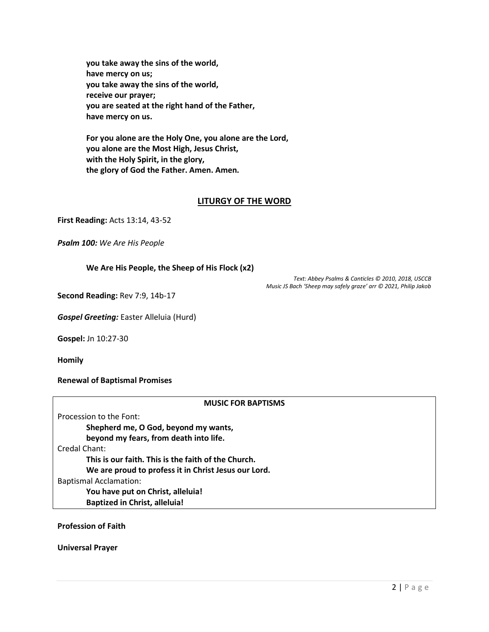**you take away the sins of the world, have mercy on us; you take away the sins of the world, receive our prayer; you are seated at the right hand of the Father, have mercy on us.**

**For you alone are the Holy One, you alone are the Lord, you alone are the Most High, Jesus Christ, with the Holy Spirit, in the glory, the glory of God the Father. Amen. Amen.**

## **LITURGY OF THE WORD**

**First Reading:** Acts 13:14, 43-52

*Psalm 100: We Are His People*

**We Are His People, the Sheep of His Flock (x2)**

*Text: Abbey Psalms & Canticles © 2010, 2018, USCCB Music JS Bach 'Sheep may safely graze' arr © 2021, Philip Jakob*

**Second Reading:** Rev 7:9, 14b-17

*Gospel Greeting:* Easter Alleluia (Hurd)

**Gospel:** Jn 10:27-30

**Homily**

**Renewal of Baptismal Promises**

#### **MUSIC FOR BAPTISMS**

| Procession to the Font:                              |
|------------------------------------------------------|
| Shepherd me, O God, beyond my wants,                 |
| beyond my fears, from death into life.               |
| Credal Chant:                                        |
| This is our faith. This is the faith of the Church.  |
| We are proud to profess it in Christ Jesus our Lord. |
| <b>Baptismal Acclamation:</b>                        |
| You have put on Christ, alleluia!                    |
| <b>Baptized in Christ, alleluia!</b>                 |

**Profession of Faith**

**Universal Prayer**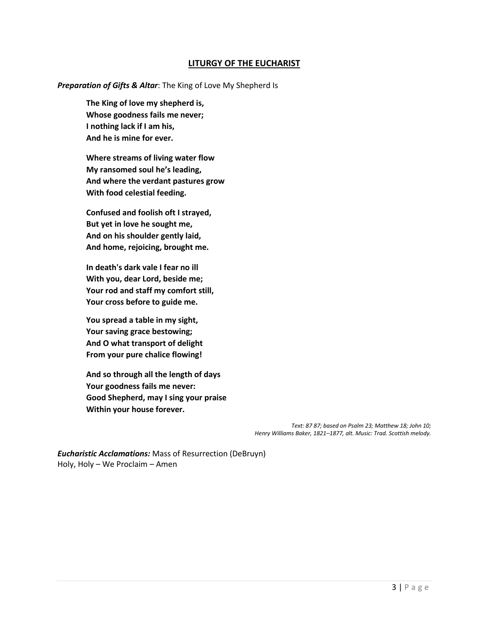## **LITURGY OF THE EUCHARIST**

*Preparation of Gifts & Altar*: The King of Love My Shepherd Is

**The King of love my shepherd is, Whose goodness fails me never; I nothing lack if I am his, And he is mine for ever.**

**Where streams of living water flow My ransomed soul he's leading, And where the verdant pastures grow With food celestial feeding.**

**Confused and foolish oft I strayed, But yet in love he sought me, And on his shoulder gently laid, And home, rejoicing, brought me.**

**In death's dark vale I fear no ill With you, dear Lord, beside me; Your rod and staff my comfort still, Your cross before to guide me.**

**You spread a table in my sight, Your saving grace bestowing; And O what transport of delight From your pure chalice flowing!**

**And so through all the length of days Your goodness fails me never: Good Shepherd, may I sing your praise Within your house forever.**

> *Text: 87 87; based on Psalm 23; Matthew 18; John 10; Henry Williams Baker, 1821–1877, alt. Music: Trad. Scottish melody.*

*Eucharistic Acclamations:* Mass of Resurrection (DeBruyn) Holy, Holy – We Proclaim – Amen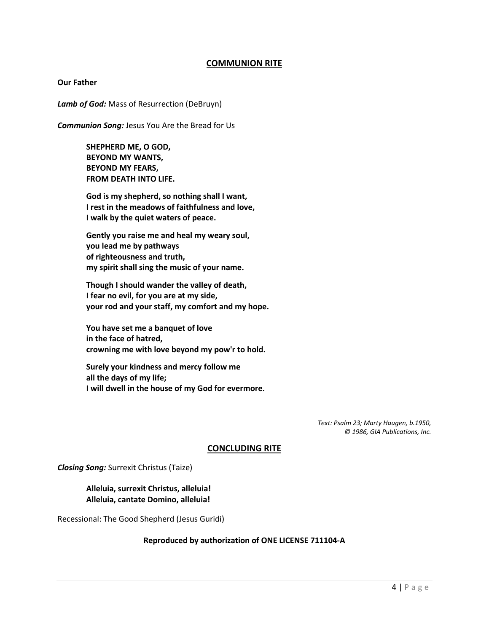## **COMMUNION RITE**

#### **Our Father**

*Lamb of God:* Mass of Resurrection (DeBruyn)

*Communion Song:* Jesus You Are the Bread for Us

**SHEPHERD ME, O GOD, BEYOND MY WANTS, BEYOND MY FEARS, FROM DEATH INTO LIFE.**

**God is my shepherd, so nothing shall I want, I rest in the meadows of faithfulness and love, I walk by the quiet waters of peace.**

**Gently you raise me and heal my weary soul, you lead me by pathways of righteousness and truth, my spirit shall sing the music of your name.**

**Though I should wander the valley of death, I fear no evil, for you are at my side, your rod and your staff, my comfort and my hope.**

**You have set me a banquet of love in the face of hatred, crowning me with love beyond my pow'r to hold.**

**Surely your kindness and mercy follow me all the days of my life; I will dwell in the house of my God for evermore.**

> *Text: Psalm 23; Marty Haugen, b.1950, © 1986, GIA Publications, Inc.*

#### **CONCLUDING RITE**

*Closing Song:* Surrexit Christus (Taize)

## **Alleluia, surrexit Christus, alleluia! Alleluia, cantate Domino, alleluia!**

Recessional: The Good Shepherd (Jesus Guridi)

#### **Reproduced by authorization of ONE LICENSE 711104-A**